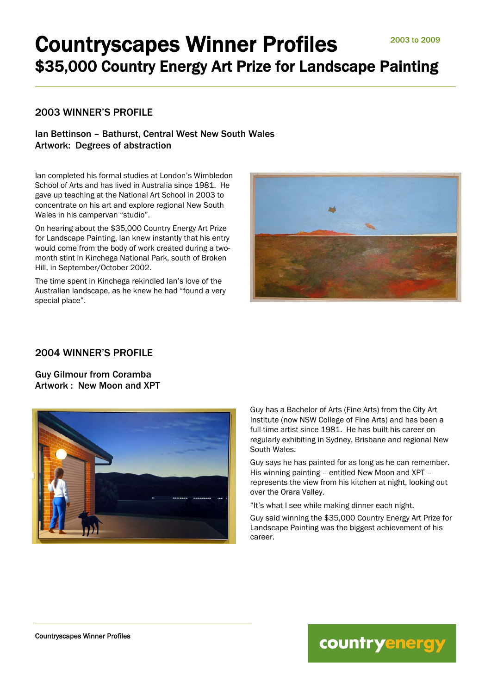## 2003 WINNER'S PROFILE

## Ian Bettinson – Bathurst, Central West New South Wales Artwork: Degrees of abstraction

Ian completed his formal studies at London's Wimbledon School of Arts and has lived in Australia since 1981. He gave up teaching at the National Art School in 2003 to concentrate on his art and explore regional New South Wales in his campervan "studio".

On hearing about the \$35,000 Country Energy Art Prize for Landscape Painting, Ian knew instantly that his entry would come from the body of work created during a twomonth stint in Kinchega National Park, south of Broken Hill, in September/October 2002.

The time spent in Kinchega rekindled Ian's love of the Australian landscape, as he knew he had "found a very special place".



## 2004 WINNER'S PROFILE

Guy Gilmour from Coramba Artwork : New Moon and XPT



Guy has a Bachelor of Arts (Fine Arts) from the City Art Institute (now NSW College of Fine Arts) and has been a full-time artist since 1981. He has built his career on regularly exhibiting in Sydney, Brisbane and regional New South Wales.

Guy says he has painted for as long as he can remember. His winning painting – entitled New Moon and XPT – represents the view from his kitchen at night, looking out over the Orara Valley.

"It's what I see while making dinner each night.

Guy said winning the \$35,000 Country Energy Art Prize for Landscape Painting was the biggest achievement of his career.

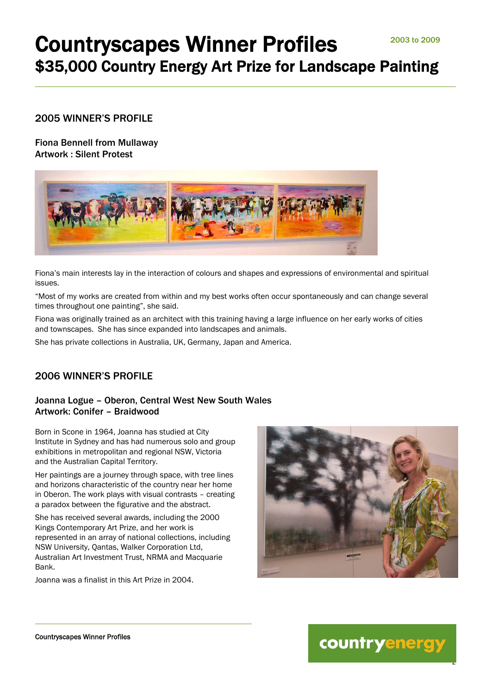## 2005 WINNER'S PROFILE

Fiona Bennell from Mullaway Artwork : Silent Protest



Fiona's main interests lay in the interaction of colours and shapes and expressions of environmental and spiritual issues.

"Most of my works are created from within and my best works often occur spontaneously and can change several times throughout one painting", she said.

Fiona was originally trained as an architect with this training having a large influence on her early works of cities and townscapes. She has since expanded into landscapes and animals.

She has private collections in Australia, UK, Germany, Japan and America.

## 2006 WINNER'S PROFILE

## Joanna Logue – Oberon, Central West New South Wales Artwork: Conifer – Braidwood

Born in Scone in 1964, Joanna has studied at City Institute in Sydney and has had numerous solo and group exhibitions in metropolitan and regional NSW, Victoria and the Australian Capital Territory.

Her paintings are a journey through space, with tree lines and horizons characteristic of the country near her home in Oberon. The work plays with visual contrasts – creating a paradox between the figurative and the abstract.

She has received several awards, including the 2000 Kings Contemporary Art Prize, and her work is represented in an array of national collections, including NSW University, Qantas, Walker Corporation Ltd, Australian Art Investment Trust, NRMA and Macquarie **Bank** 

Joanna was a finalist in this Art Prize in 2004.



countryenergy

2

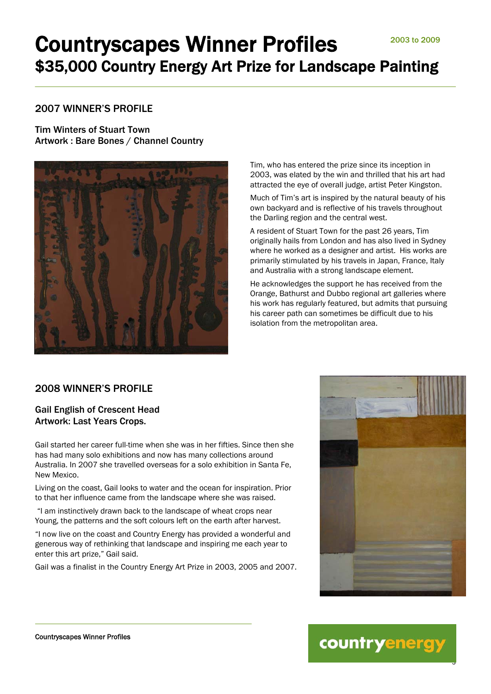## 2007 WINNER'S PROFILE

Tim Winters of Stuart Town Artwork : Bare Bones / Channel Country



Tim, who has entered the prize since its inception in 2003, was elated by the win and thrilled that his art had attracted the eye of overall judge, artist Peter Kingston.

Much of Tim's art is inspired by the natural beauty of his own backyard and is reflective of his travels throughout the Darling region and the central west.

A resident of Stuart Town for the past 26 years, Tim originally hails from London and has also lived in Sydney where he worked as a designer and artist. His works are primarily stimulated by his travels in Japan, France, Italy and Australia with a strong landscape element.

He acknowledges the support he has received from the Orange, Bathurst and Dubbo regional art galleries where his work has regularly featured, but admits that pursuing his career path can sometimes be difficult due to his isolation from the metropolitan area.

## 2008 WINNER'S PROFILE

#### Gail English of Crescent Head Artwork: Last Years Crops.

Gail started her career full-time when she was in her fifties. Since then she has had many solo exhibitions and now has many collections around Australia. In 2007 she travelled overseas for a solo exhibition in Santa Fe, New Mexico.

Living on the coast, Gail looks to water and the ocean for inspiration. Prior to that her influence came from the landscape where she was raised.

 "I am instinctively drawn back to the landscape of wheat crops near Young, the patterns and the soft colours left on the earth after harvest.

"I now live on the coast and Country Energy has provided a wonderful and generous way of rethinking that landscape and inspiring me each year to enter this art prize," Gail said.

Gail was a finalist in the Country Energy Art Prize in 2003, 2005 and 2007.



# countryenergy

3